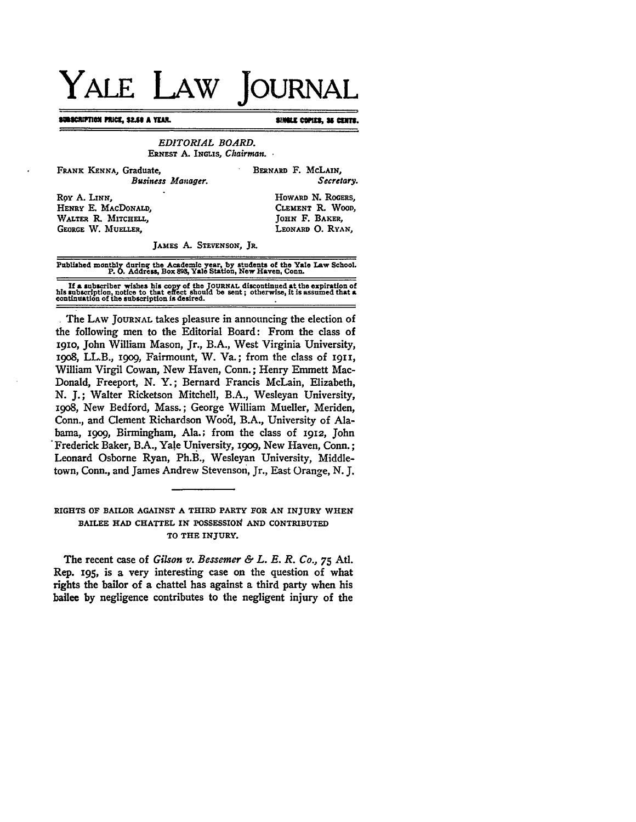# **YALE LAW JOURNAL**

**SUNWRP1IN MRC&, UM A hAIL RINIL CIPZI NS CNTS.**

*EDITORIAL BOARD.* **ERNET A.** INGLS, Chairman.

FRANK KENNA, Graduate, BERNARD F. McLAIN,

Business *Manager. Secretary.*

ROY A. LINN. **HOWARD N. ROGERS,** HENRY **E. MAcDoNALD, CLEMENT** R. **WOOD,** WALTER R. MITCHELL, SANG HOMAN T. BAKER, SEDRE R. BAKER, JOHN F. BAKER, **GEORGE W. MUELLER,** 

JAMES **A.** STEVENSON, JR.

Published **monthly during** the Academic year, **by** students of the Yale Law School. **P.O. Address,** Box **893,** Yale Station, New Haven, Conn.

**If a** subscriber wishes his copy of the **JOURNAL** discontinued at the **expiration of** his **subscription, notice** to that effect should **be** sent; otherwise, It Is assumed that a **continuation of** the subscription is desired.

The LAW JOURNAL takes pleasure in announcing the election of the following men to the Editorial Board: From the class of **i9IO,** John William Mason, Jr., B.A., West Virginia University, i9o8, LL.B., **I9o9,** Fairmount, W. Va.; from the class of 1911, William Virgil Cowan, New Haven, Conn.; Henry Emmett Mac-Donald, Freeport, **N.** Y.; Bernard Francis McLain, Elizabeth, **N. J.;** Walter Ricketson Mitchell, B.A., Wesleyan University, **i9o8,** New Bedford, Mass.; George William Mueller, Meriden, Conn., and Clement Richardson Woo'd, B.A., University of Alabama, i9o9, Birmingham, Ala.; from the class of **1912,** John 'Frederick Baker, BA., Yale University, **I9o9,** New Haven, Conn.; Leonard Osborne Ryan, Ph.B., Wesleyan University, Middletown, Conn., and James Andrew Stevenson, Jr., East Orange, **N. J.**

# **RIGHTS OF BAILOR AGAINST A THIRD PARTY FOR AN INJURY WHEN** BAILEE HAD CHATTEL IN POSSESSION AND CONTRIBUTED TO THE INJURY.

The recent case of *Gilson v. Bessemer & L. E. R. Co., 75* Ad. Rep. **195,** is a very interesting case on the question of what rights the bailor of a chattel has against a third party when his bailee **by** negligence contributes to the negligent injury of the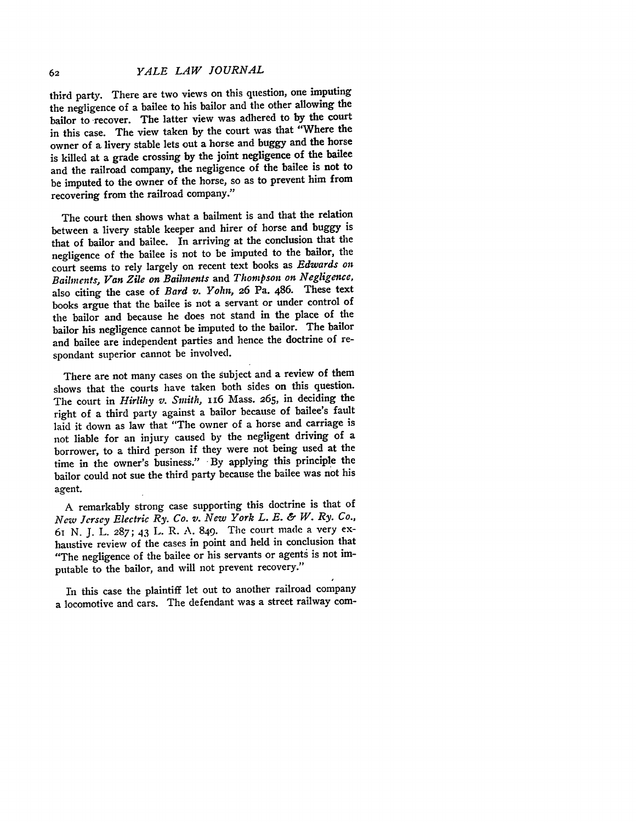third party. There are two views on this question, one imputing the negligence of a bailee to his bailor and the other allowing the bailor to recover. The latter view was adhered to **by** the court in this case. The view taken **by** the court was that "Where the owner of a livery stable lets out a horse and buggy and the horse is killed at a grade crossing **by** the joint negligence of the bailee and the railroad company, the negligence of the bailee is not to be imputed to the owner of the horse, so as to prevent him from recovering from the railroad company."

The court then shows what a bailment is and that the relation between a livery stable keeper and hirer of horse and buggy is that of bailor and bailee. In arriving at the conclusion that the negligence of the bailee is not to be imputed to the bailor, the court seems to rely largely on recent text books as *Edwards on Bailments, Van Zile on Bailments* and *Thompson on Negligence,* also citing the case of *Bard v. Yohn,* **26** Pa. 486. These text books argue that the bailee is not a servant or under control of the bailor and because he does not stand in the place of the bailor his negligence cannot be imputed to the bailor. The bailor and bailee are independent parties and hence the doctrine of respondant superior cannot be involved.

There are not many cases on the subject and a review of them shows that the courts have taken both sides on this question. The court in *Hirliliy v. Smith,* 1 i6 Mass. **265,** in deciding the right of a third party against a bailor because of bailee's fault laid it down as law that "The owner of a horse and carriage is not liable for an injury caused **by** the negligent driving of a borrower, to a third person if they were not being used at the time in the owner's business." **By** applying this principle the bailor could not sue the third party because the bailee was not his agent.

**A** remarkably strong case supporting this doctrine is that of *New Jersey Electric Ry. Co. v. New York L. E. & W. Ry. Co.,* 61 N. J. L. 287; 43 **L.** R. A. 849. The court made a very exhaustive review of the cases in point and held in conclusion that "The negligence of the bailee or his servants or agents is not imputable to the bailor, and will not prevent recovery."

In this case the plaintiff let out to another railroad company a locomotive and cars. The defendant was a street railway com-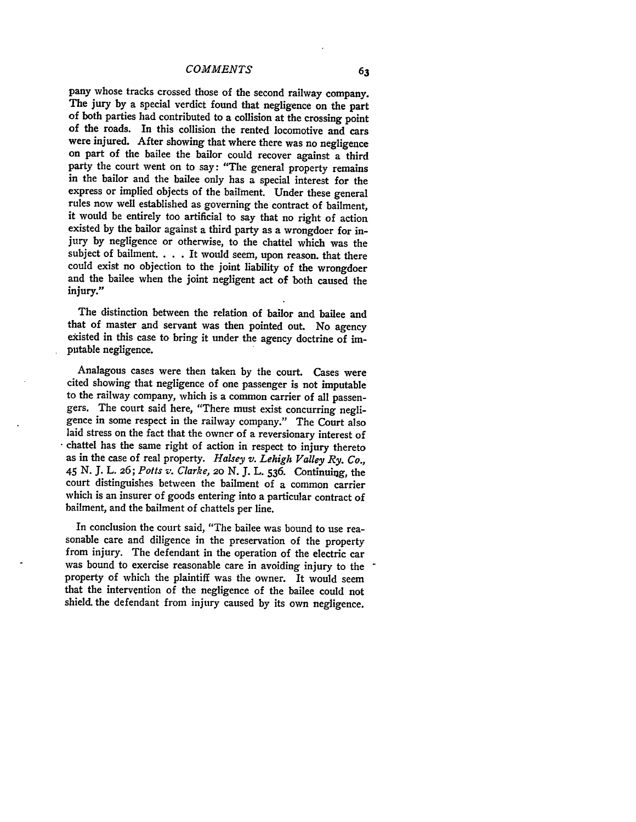pany whose tracks crossed those of the second railway company.<br>The jury by a special verdict found that negligence on the part of both parties had contributed to a collision at the crossing point of the roads. In this coll were injured. After showing that where there was no negligence on part of the bailee the bailor could recover against a third party the court went on to say: "The general property remains in the bailor and the bailee only has a special interest for the express or implied objects of the bailment. Under these general rules now well established as governing the contract of bailment, it would be entirely too artificial to say that no right of action existed **by** the bailor against a third party as a wrongdoer for injury **by** negligence or otherwise, to the chattel which was the subject of bailment. . . . It would seem, upon reason, that there could exist no objection to the joint liability of the wrongdoer and the bailee when the joint negligent act of both caused the injury."

The distinction between the relation of bailor and bailee and that of master and servant was then pointed out. No agency existed in this case to bring it under the agency doctrine of imputable negligence.

Analagous cases were then taken **by** the court. Cases were cited showing that negligence of one passenger is not imputable to the railway company, which is a common carrier of all passengers. The court said here, "There must exist concurring negligence in some respect in the railway company." The Court also laid stress on the fact that the owner of a reversionary interest of chattel has the same right of action in respect to injury thereto as in the case of real property. *Halsey v. Lehigh Valley Ry. Co.,* <sup>45</sup>**N. J.** L. **26;** *Potts v. Clarke, 2o* **N. J.** L. **536.** Continuig, the court distinguishes between the bailment of a common carrier which is an insurer of goods entering into a particular contract of bailment, and the bailment of chattels per line.

In conclusion the court said, "The bailee was bound to use reasonable care and diligence in the preservation of the property from injury. The defendant in the operation of the electric car was bound to exercise reasonable care in avoiding injury to the property of which the plaintiff was the owner. It would seem that the intervention of the negligence of the bailee could not shield. the defendant from injury caused **by** its own negligence.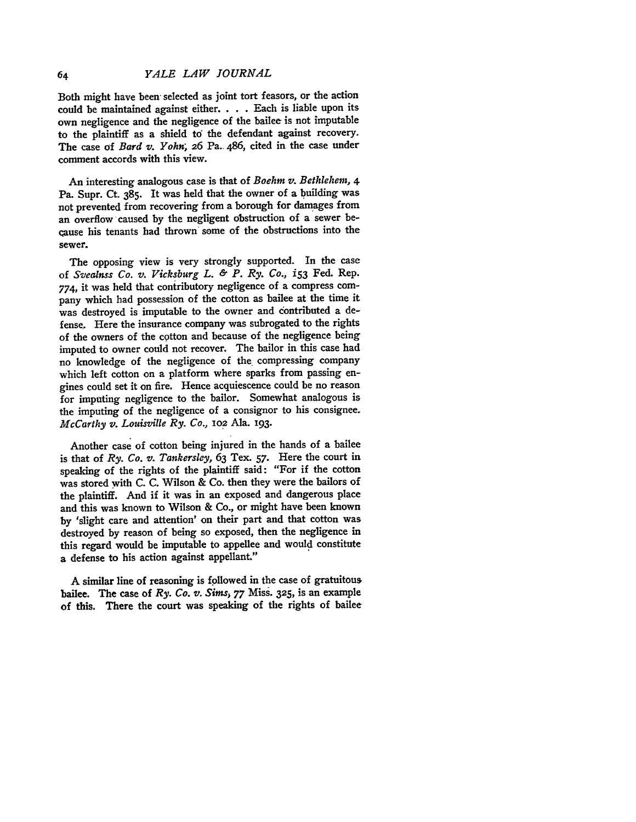Both might have been selected as joint tort feasors, or the action could be maintained against either. **. .** . Each is liable upon its own negligence and the negligence of the bailee is not imputable to the plaintiff as a shield to the defendant against recovery. The case of *Bard v. Yohn; 26* Pa.. 486, cited in the case under comment accords with this view.

An interesting analogous case is that of *Boehm v. Bethlehem, 4* Pa. Supr. Ct. 385. It was held that the owner of a building was not prevented from recovering from a borough for damages from an overflow caused by the negligent obstruction of a sewer because his tenants had thrown some of the obstructions into the sewer.

The opposing view is very strongly supported. In the case of *Sv alnss Co. v. Vicksburg L. & P. Ry. Co.,* i53 Fed. Rep. 774, it was held that contributory negligence of a compress company which had possession of the cotton as bailee at the time it was destroyed is imputable to the owner and contributed a defense. Here the insurance company was subrogated to the rights of the owners of the cotton and because of the negligence being imputed to owner could not recover. The bailor in this case had no knowledge of the negligence of the compressing company which left cotton on a platform where sparks from passing engines could set it on fire. Hence acquiescence could be no reason for imputing negligence to the bailor. Somewhat analogous is the imputing of the negligence of a consignor to his consignee. *McCarthy v. Louisville Ry. Co.,* iO2 Ala. 193.

Another case of cotton being injured in the hands of a bailee is that of *Ry. Co. v. Tankersley,* 63 Tex. **57.** Here the court in speaking of the rights of the plaintiff said: "For if the cotton was stored with C. C. Wilson & Co. then they were the bailors of the plaintiff. And if it was in an exposed and dangerous place and this was known to Wilson & Co., or might have been known by 'slight care and attention' on their part and that cotton was destroyed by reason of being so exposed, then the negligence in this regard would be imputable to appellee and would constitute a defense to his action against appellant."

A similar line of reasoning is followed in the case of gratuitous bailee. The case of *Ry. Co. v. SiMS,* 77 Miss. **325,** is an example of this. There the court was speaking of the rights of bailee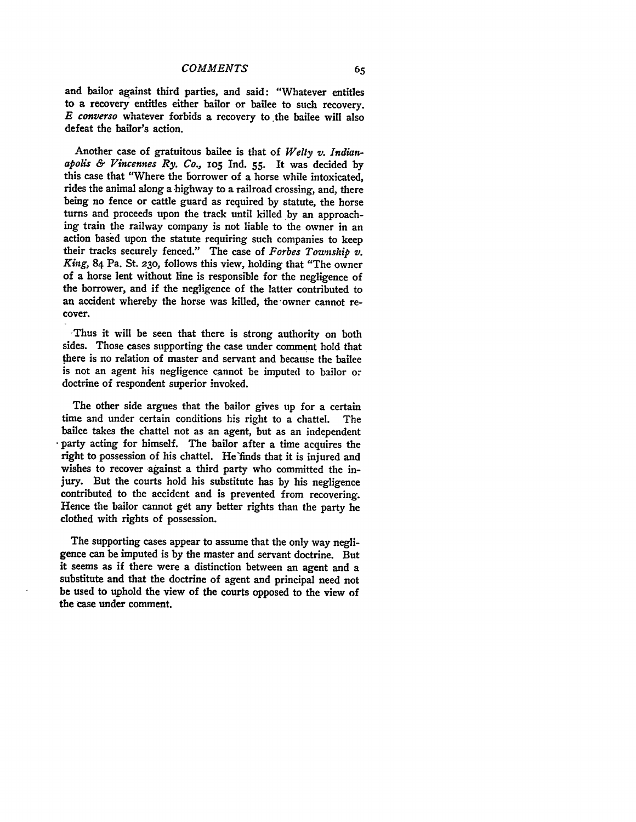and bailor against third parties, and said: "Whatever entitles to a recovery entitles either bailor or bailee to such recovery. *E converso* whatever forbids a recovery to the bailee will also defeat the bailor's action.

Another case of gratuitous bailee is that of *Welty v. Indianapolis & Vincennes Ry. Co.,* **Io5 Ind. 55.** It was decided **by** this case that "Where the borrower of a horse while intoxicated, rides the animal along a highway to a railroad crossing, and, there being no fence or cattle guard as required **by** statute, the horse turns and proceeds upon the track until killed **by** an approaching train the railway company is not liable to the owner in an action based upon the statute requiring such companies to keep their tracks securely fenced." The case of *Forbes Township v. King,* 84 Pa. St. **23o,** follows this view, holding that "The owner of a horse lent without line is responsible for the negligence of the borrower, and if the negligence of the latter contributed to an accident whereby the horse was killed, the-owner cannot recover.

Thus it will be seen that there is strong authority on both sides. Those cases supporting the case under comment hold that there is no relation of master and servant and because the bailee is not an agent his negligence cannot be imputed to bailor **or** doctrine of respondent superior invoked.

The other side argues that the bailor gives up for a certain time and under certain conditions his right to a chattel. The bailee takes the chattel not as an agent, but as an independent party acting for himself. The bailor after a time acquires the right to possession of his chattel. He"finds that it is injured and wishes to recover against a third party who committed the injury. But the courts hold his substitute has **by** his negligence contributed to the accident and is prevented from recovering. Hence the bailor cannot get any better rights than the party he clothed with rights of possession.

The supporting cases appear to assume that the only way negligence can be imputed is **by** the master and servant doctrine. But it seems as if there were a distinction between an agent and a substitute and that the doctrine of agent and principal need not be used to uphold the view of the courts opposed to the view of the case under comment.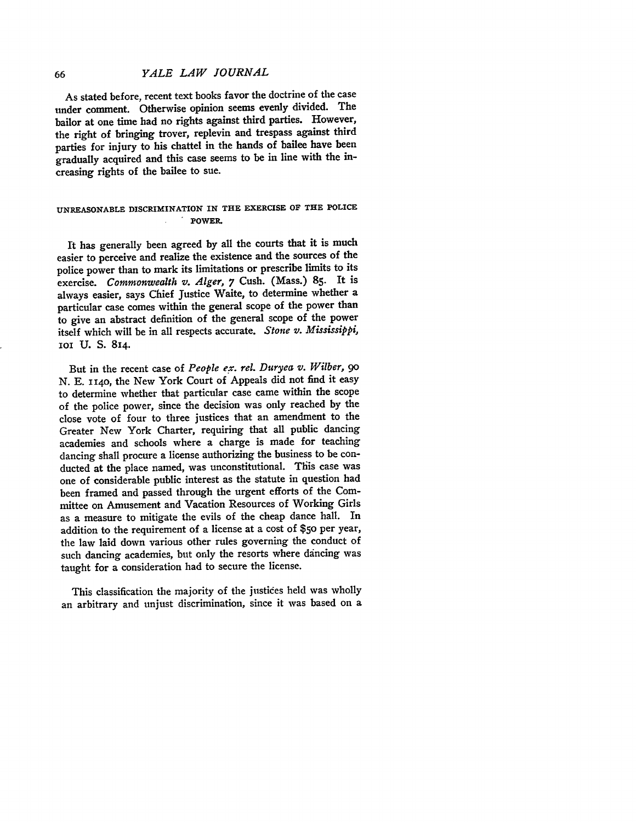# *YALE LAW JOURNAL*

As stated before, recent text books favor the doctrine of the case under comment. Otherwise opinion seems evenly divided. The bailor at one time had no rights against third parties. However, the right of bringing trover, replevin and trespass against third parties for injury to his chattel in the hands of bailee have been gradually acquired and this case seems to be in line with the **in**creasing rights of the bailee to sue.

# **UNREASONABLE DISCRIMINATION IN THE EXERCISE OF THE POLICE POWER.**

It has generally been agreed **by** all the courts that it is much easier to perceive and realize the existence and the sources of the police power than to mark its limitations or prescribe limits to its exercise. *Commonwealth v. Alger,* 7 Cush. (Mass.) **85.** It is always easier, says Chief Justice Waite, to determine whether a particular case comes within the general scope of the power than to give an abstract definition of the general scope of the power itself which will be in all respects accurate. *Stone v. Mississippi,* ioi U. S. 814.

But in the recent case of *People ex. rel. Duryea v. Wilber, 9o* **N. E.** I **I4O,** the New York Court of Appeals did not find it easy to determine whether that particular case came within the scope of the police power, since the decision was only reached **by** the close vote of four to three justices that an amendment to the Greater New York Charter, requiring that all public dancing academies and schools where a charge is made for teaching dancing shall procure a license authorizing the business to be conducted at the place named, was unconstitutional. This case was one of considerable public interest as the statute in question had been framed and passed through the urgent efforts of the Committee on Amusement and Vacation Resources of Working Girls as a measure to mitigate the evils of the cheap dance hall. In addition to the requirement of a license at a cost of \$5o per year, the law laid down various other rules governing the conduct of such dancing academies, but only the resorts where dancing was taught for a consideration had to secure the license.

This classification the majority of the justices held was wholly an arbitrary and unjust discrimination, since it was based on a

66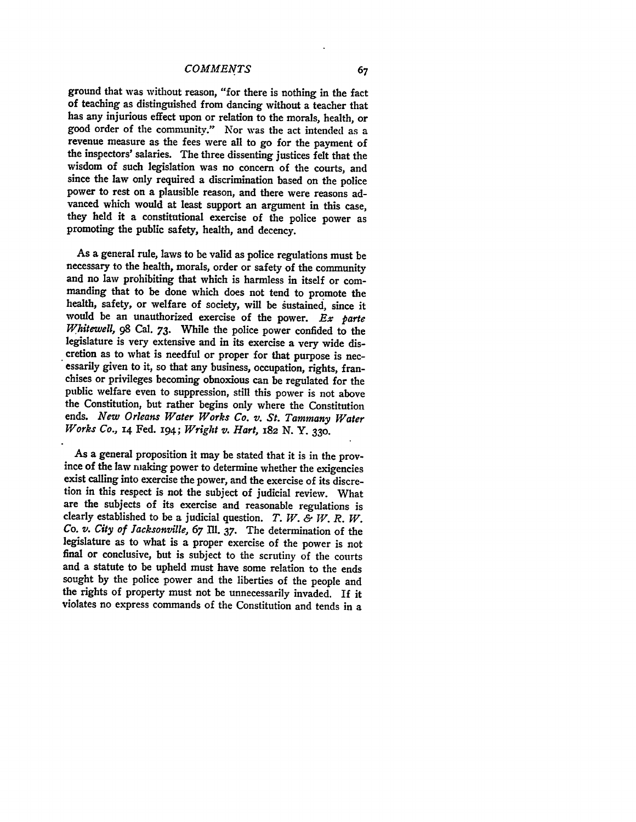ground that was without reason, "for there is nothing in the fact of teaching as distinguished from dancing without a teacher that has any injurious effect upon or relation to the morals, health, or good order of the community." Nor was the act intended as a revenue measure as the fees were all to go for the payment of the inspectors' salaries. The three dissenting justices felt that the wisdom of such legislation was no concern of the courts, and since the law only required a discrimination based on the police power to rest on a plausible reason, and there were reasons advanced which would at least support an argument in this case, they held it a constitutional exercise of the police power as promoting the public safety, health, and decency.

As a general rule, laws to be valid as police regulations must be necessary to the health, morals, order or safety of the community and no law prohibiting that which is harmless in itself or commanding that to be done which does not tend to promote the health, safety, or welfare of society, will be sustained, since it would be an unauthorized exercise of the power. Ex parte *Whitewell,* **98** Cal. *73.* While the police power confided to the legislature is very extensive and in its exercise a very wide discretion as to what is needful or proper for that purpose is necessarily given to it, so that any business, occupation, rights, franchises or privileges becoming obnoxious can be regulated for the public welfare even to suppression, still this power is not above the Constitution, but rather begins only where the Constitution ends. *New Orleans Water Works Co. v. St. Tammany Water Works Co.,* **14** Fed. 194; *Wright v. Hart, 182* **N.** Y. **330.**

As a general proposition it may be stated that it is in the province of the law **making** power to determine whether the exigencies exist calling into exercise the power, and the exercise of its discretion in this respect is not the subject of judicial review. What are the subjects of its exercise and reasonable regulations is clearly established to be a judicial question. *T. W. & W. R. W. Co. v. City of Jacksonville,* **67 Ill. 37.** The determination of the legislature as to what is a proper exercise of the power is not final or conclusive, but is subject to the scrutiny of the courts and a statute to be upheld must have some relation to the ends sought **by** the police power and the liberties of the people and the rights of property must not be unnecessarily invaded. If it violates no express commands of the Constitution and tends in a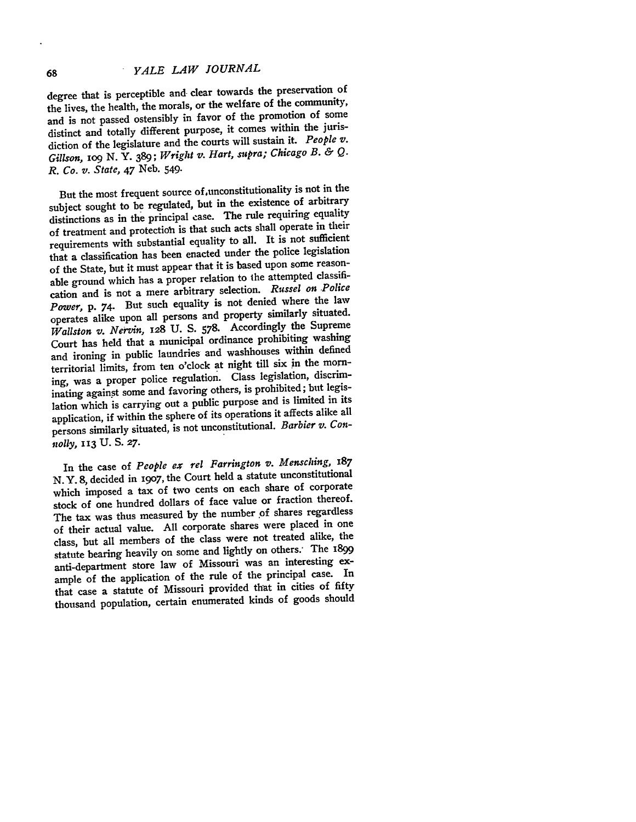degree that is perceptible and- clear towards the preservation of the lives, the health, the morals, or the welfare of the community, and is not passed ostensibly in favor of the promotion of some distinct and totally different purpose, it comes within the jurisdiction of the legislature and the courts will sustain it. *People v. Gilison,* io9 **N. Y. 389;** *Wright v. Hart, supra; Chicago B. &* **Q.** *R. Co. v. State, 47* Neb. 549.

But the most frequent source of, unconstitutionality is not in the subject sought to be regulated, but in the existence of arbitrary distinctions as in the principal case. The rule requiring equality of treatment and protection is that such acts shall operate in their requirements with substantial equality to all. It is not sufficient that a classification has been enacted under the police legislation of the State, but it must appear that it is based upon some reasonable ground which has a proper relation to the attempted classification and is not a mere arbitrary selection. *Russel on Police Power,* p. 74. But such equality is not denied where the law operates alike upon all persons and property similarly situated. *Wallston v. Nervin,* **128 U.** S. 578. Accordingly the Supreme Court has held that a municipal ordinance prohibiting washing and ironing in public laundries and washhouses within defined territorial limits, from ten o'clock at night till six in the morning, was a proper police regulation. Class legislation, discriminating against some and favoring others, is prohibited; but legislation which is carrying out a public purpose and is limited in its application, if within the sphere of its operations it affects alike all persons similarly situated, is not unconstitutional. *Barbier v. Conizolly,* **113 U.** S. **27.**

In the case of *People ex rel Farrington v. Mensching, 187* **N.** Y. **8,** decided in i9o7, the Court held a statute unconstitutional which imposed a tax of two cents on each share of corporate stock of one hundred dollars of face value or fraction thereof. The tax was thus measured **by** the number of shares regardless of their actual value. **All** corporate shares were placed in one class, but all members of the class were not treated alike, the statute bearing heavily on some and lightly on others: The **I899** anti-department store law of Missouri was an interesting example of the application of the rule of the principal case. In that case a statute of Missouri provided that in cities of fifty thousand population, certain enumerated kinds of goods should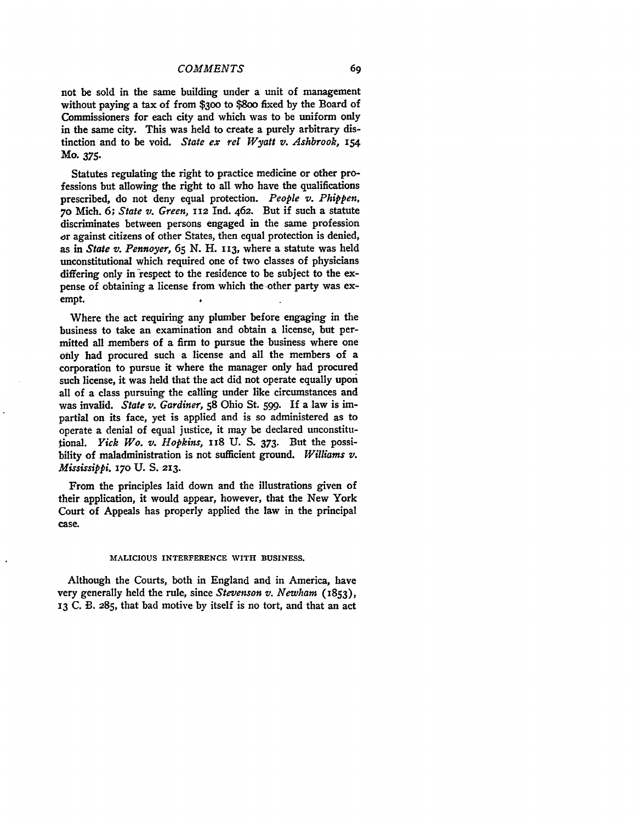not be sold in the same building under a unit of management without paying a tax of from \$3oo to \$8oo fixed **by** the Board of Commissioners for each city and which was to be uniform only in the same city. This was held to create a purely arbitrary distinction and to be void. *State ex ref Wyatt v. Ashbrook, x54 Mo.* **375.**

Statutes regulating the right to practice medicine or other professions but allowing the right to all who have the qualifications prescribed, do not deny equal protection. *People v. Phippen, 70* Mich. **6;** *State v. Green,* **112** Ind. **462.** But if such a statute discriminates between persons engaged in the same profession or against citizens of other States, then equal protection is denied, as in *State v. Pennoyer,* **65 N.** H. **113,** where a statute was held unconstitutional which required one of two classes of physicians differing only in respect to the residence to be subject to the expense of obtaining a license from which the other party was **exempt.**

Where the act requiring any plumber before engaging in the business to take an examination and obtain a license, but permitted all members of a firm to pursue the business where one only had procured such a license and all the members of a corporation to pursue it where the manager only had procured such license, it was held that the act did not operate equally upon all of a class pursuing the calling under like circumstances and was invalid. *State v. Gardiner,* **58** Ohio St. **599.** If a law is impartial on its face, yet is applied and is so administered as to operate a denial of equal justice, it may be declared unconstitutional. *Yick Wo. v. Hopkins*, 118 U. S. 373. But the possibility of maladministration is not sufficient ground. *Williams v. Mississippi.* **170 U. S.** *213.*

From the principles laid down and the illustrations given of their application, it would appear, however, that the New York Court of Appeals has properly applied the law in the principal case.

#### **MALICIOUS INTERFERENCE** WITH **BUSINESS.**

Although the Courts, both in England and in America, have very generally held the rule, since *Stevenson v. Newham* (1853), **13 C.** B. **285,** that bad motive **by** itself is no tort, and that an act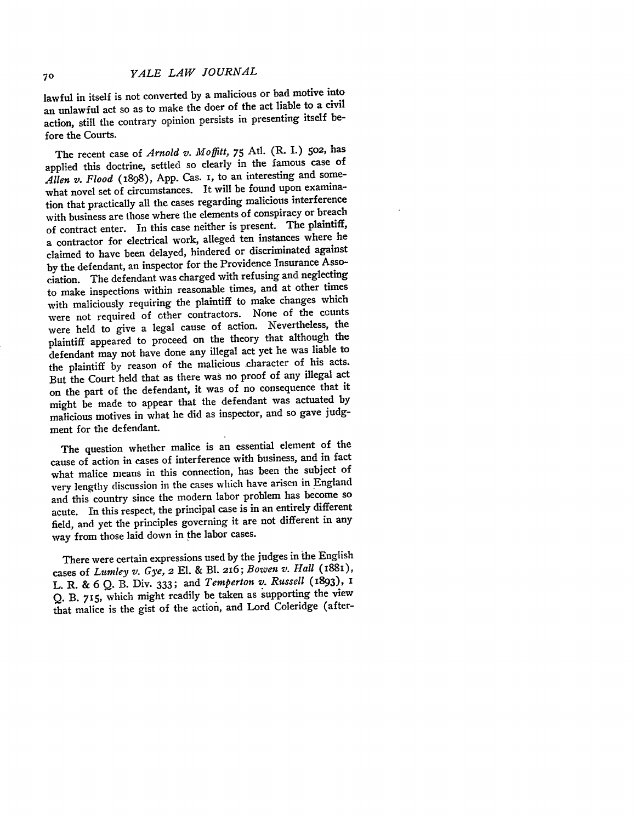lawful in itself is not converted by a malicious or bad motive into an unlawful act so as to make the doer of the act liable to a civil action, still the contrary opinion persists in presenting itself before the Courts.

The recent case of *Arnold v. Moffitt,* 75 Atl. (R. I.) **502,** has applied this doctrine, settled so clearly in the famous case of *Allen v. Flood* (1898), **App.** Cas. **i,** to an interesting and somewhat novel set of circumstances. It will be found upon examination that practically all the cases regarding malicious interference with business are those where the elements of conspiracy or breach of contract enter. In this case neither is present. The plaintiff, a contractor for electrical work, alleged ten instances where he claimed to have been delayed, hindered or discriminated against **by** the defendant, an inspector for the Providence Insurance Association. The defendant was charged with refusing and neglecting to make inspections within reasonable times, and at other times with maliciously requiring the plaintiff to make changes which were not required of other contractors. None of the ccunts were held to give a legal cause of action. Nevertheless, the plaintiff appeared to proceed on the theory that although the defendant may not have done any illegal act yet he was liable to the plaintiff **by** reason of the malicious character of his acts. But the Court held that as there was no proof of any illegal act on the part of the defendant, it was of no consequence that it might be made to appear that the defendant was actuated **by** malicious motives in what he did as inspector, and so gave **judg**ment for the defendant.

The question whether malice is an essential element of the cause of action in cases of interference with business, and in fact what malice means in this connection, has been the subject of very lengthy discussion in the cases which have arisen in England and this country since the modem labor problem has become so acute. In this respect, the principal case is in an entirely different field, and yet the principles governing it are not different in any way from those laid down in the labor cases.

There were certain expressions used **by** the judges in **the** English cases of *Lumnley v. Gye,* 2 **El.** & **B1.** 216; *Bowen s,. Hall* **(ig8i),** L. R. & 6 **Q.** B. Div. **333;** and *Temperton v. Russell* (893), **<sup>i</sup> Q.** B. **715,** which might readily be taken as supporting the view that malice is the gist of the action, and Lord Coleridge (after-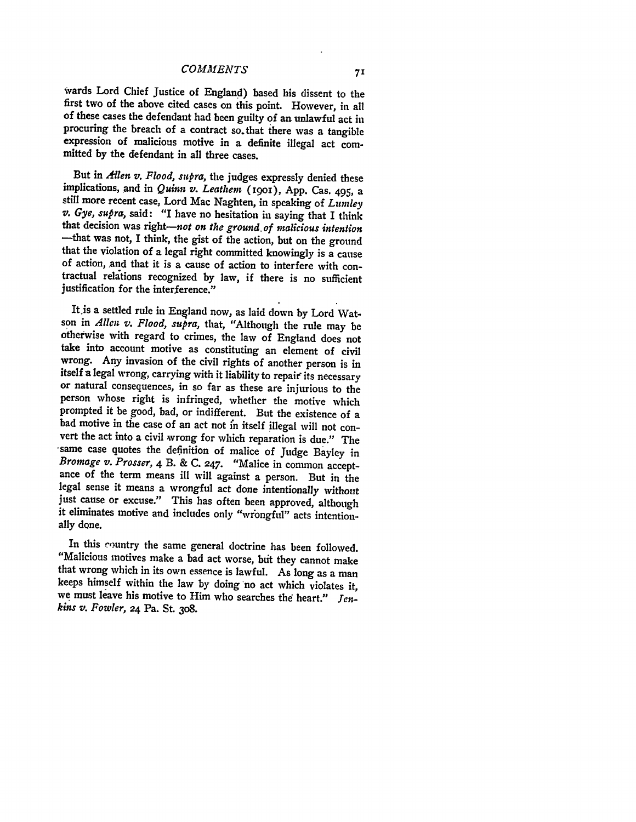Wards Lord Chief Justice of England) based his dissent to the first two of the above cited cases on this point. However, in all of these cases the defendant had been guilty of an unlawful act in expression of malicious motive in a definite illegal act committed **by** the defendant in all three cases.

But in *Allen v. Flood, supra,* the judges expressly denied these implications, and in *Quinn v. Leathen* **(i9oi), App.** Cas. 495, a still more recent case, Lord Mac Naghten, in speaking of Luniley v. *Gye, supra,* said: "I have no hesitation in saying that I think that decision was right-not on the ground of malicious intention<br>--that was not, I think, the gist of the action, but on the ground that the violation of a legal right committed knowingly is a cause of action, and that it is a cause of action to interfere with contractual relations recognized **by** law, if there is no sufficient justification for the interference."

It.is a settled rule in England now, as laid down **by** Lord Watson in *Allen v. Flood, supra,* that, "Although the rule may be otherwise with regard to crimes, the law of England does not take into account motive as constituting an element of civil wrong. Any invasion of the civil rights of another person is in itself a legal wrong, carrying with it liability to repair its necessary or natural consequences, in so far as these are injurious to the person whose right is infringed, whether the motive which prompted it be good, bad, or indifferent. But the existence of a bad motive in the case of an act not in itself illegal will not convert the act into a civil wrong for which reparation is due." The -same case quotes the definition of malice of Judge Bayley in *Bromage v. Prosser,* 4 B. **& C. 247.** "Malice in common acceptance of the term means ill will against a person. But in the legal sense it means a wrongful act done intentionally without just cause or excuse." This has often been approved, although it eliminates motive and includes only "wrongful" acts intentionally done.

In this country the same general doctrine has been followed. "Malicious motives make a bad act worse, but they cannot make that wrong which in its own essence is lawful. As long as a man keeps himself within the law **by** doing no act which violates it, we must leave his motive to Him who searches the heart." *Jenkins v. Fowler,* **24** Pa. St. **3o8.**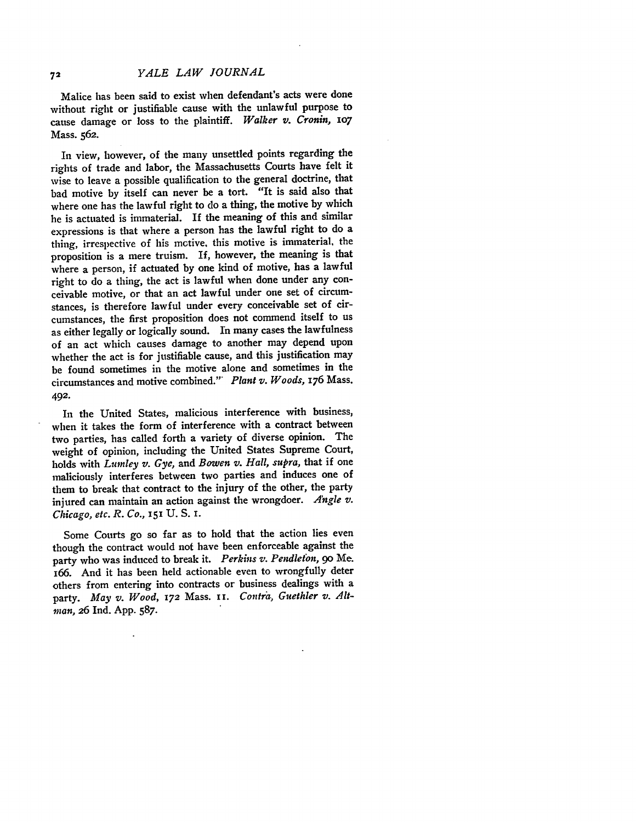Malice has been said to exist when defendant's acts were done without right or justifiable cause with the unlawful purpose to cause damage or loss to the plaintiff. *Walker v. Cronin*, 107 Mass. 562.

In view, however, of the many unsettled points regarding the rights of trade and labor, the Massachusetts Courts have felt it wise to leave a possible qualification to the general doctrine, that bad motive by itself can never be a tort. "It is said also that where one has the lawful right to do a thing, the motive by which he is actuated is immaterial. If the meaning of this and similar expressions is that where a person has the lawful right to do a thing, irrespective of his motive, this motive is immaterial, the proposition is a mere truism. If, however, the meaning is that where a person, if actuated by one kind of motive, has a lawful right to do a thing, the act is lawful when done under any conceivable motive, or that an act lawful under one set of circumstances, is therefore lawful under every conceivable set of circumstances, the first proposition does not commend itself to us as either legally or logically sound. In many cases the lawfulness of an act which causes damage to another may depend upon whether the act is for justifiable cause, and this justification may be found sometimes in the motive alone and sometimes in the circumstances and motive combined." *Plant v. Woods,* **176** Mass. 492.

In the United States, malicious interference with business, when it takes the form of interference with a contract between two parties, has called forth a variety of diverse opinion. The weight of opinion, including the United States Supreme Court, holds with *Lumley v. Gye,* and *Bowen v. Hall, supra,* that if one maliciously interferes between two parties and induces one of them to break that contract to the injury of the other, the party injured can maintain an action against the wrongdoer. *Angle v. Chicago, etc. R. Co.,* **151 U. S. I.**

Some Courts go so far as to hold that the action lies even though the contract would not have been enforceable against the party who was induced to break it. *Perkins v. Pendleton,* go Me. 166. And it has been held actionable even to wrongfully deter others from entering into contracts or business dealings with a party. *May v. Wood,* **172** Mass. **II.** *Contra, Guethler v. Altman,* 26 Ind. App. 587.